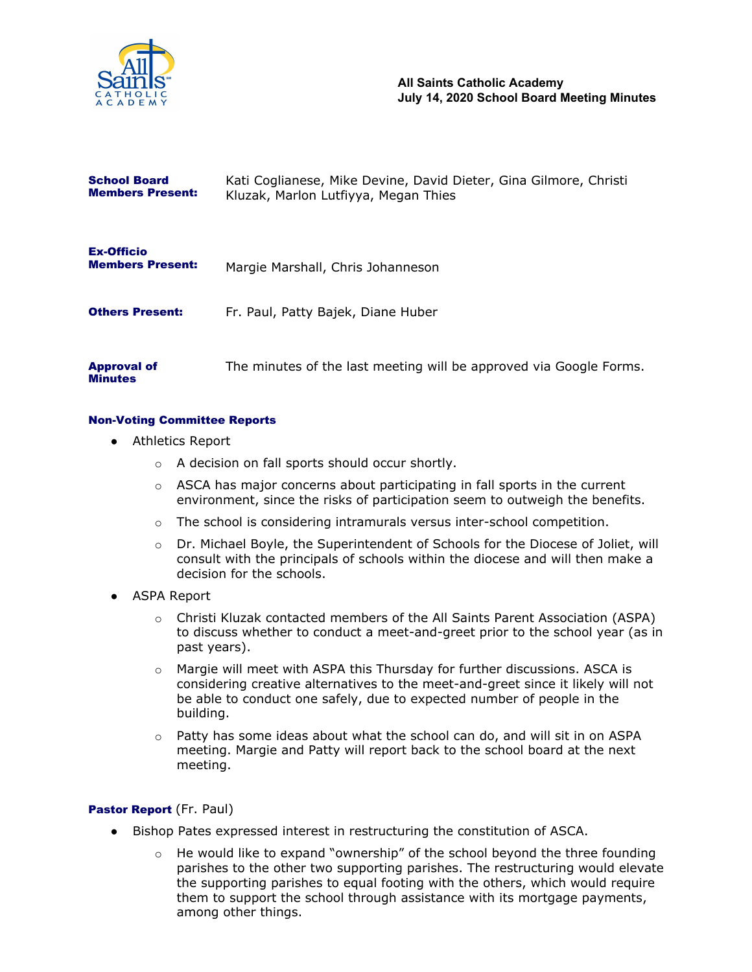

| <b>School Board</b><br><b>Members Present:</b> | Kati Coglianese, Mike Devine, David Dieter, Gina Gilmore, Christi<br>Kluzak, Marlon Lutfiyya, Megan Thies |
|------------------------------------------------|-----------------------------------------------------------------------------------------------------------|
| <b>Ex-Officio</b><br><b>Members Present:</b>   | Margie Marshall, Chris Johanneson                                                                         |
| <b>Others Present:</b>                         | Fr. Paul, Patty Bajek, Diane Huber                                                                        |
| <b>Approval of</b>                             | The minutes of the last meeting will be approved via Google Forms.                                        |

### Non-Voting Committee Reports

● Athletics Report

Minutes

- o A decision on fall sports should occur shortly.
- $\circ$  ASCA has major concerns about participating in fall sports in the current environment, since the risks of participation seem to outweigh the benefits.
- $\circ$  The school is considering intramurals versus inter-school competition.
- o Dr. Michael Boyle, the Superintendent of Schools for the Diocese of Joliet, will consult with the principals of schools within the diocese and will then make a decision for the schools.
- ASPA Report
	- o Christi Kluzak contacted members of the All Saints Parent Association (ASPA) to discuss whether to conduct a meet-and-greet prior to the school year (as in past years).
	- $\circ$  Margie will meet with ASPA this Thursday for further discussions. ASCA is considering creative alternatives to the meet-and-greet since it likely will not be able to conduct one safely, due to expected number of people in the building.
	- $\circ$  Patty has some ideas about what the school can do, and will sit in on ASPA meeting. Margie and Patty will report back to the school board at the next meeting.

### Pastor Report (Fr. Paul)

- Bishop Pates expressed interest in restructuring the constitution of ASCA.
	- $\circ$  He would like to expand "ownership" of the school beyond the three founding parishes to the other two supporting parishes. The restructuring would elevate the supporting parishes to equal footing with the others, which would require them to support the school through assistance with its mortgage payments, among other things.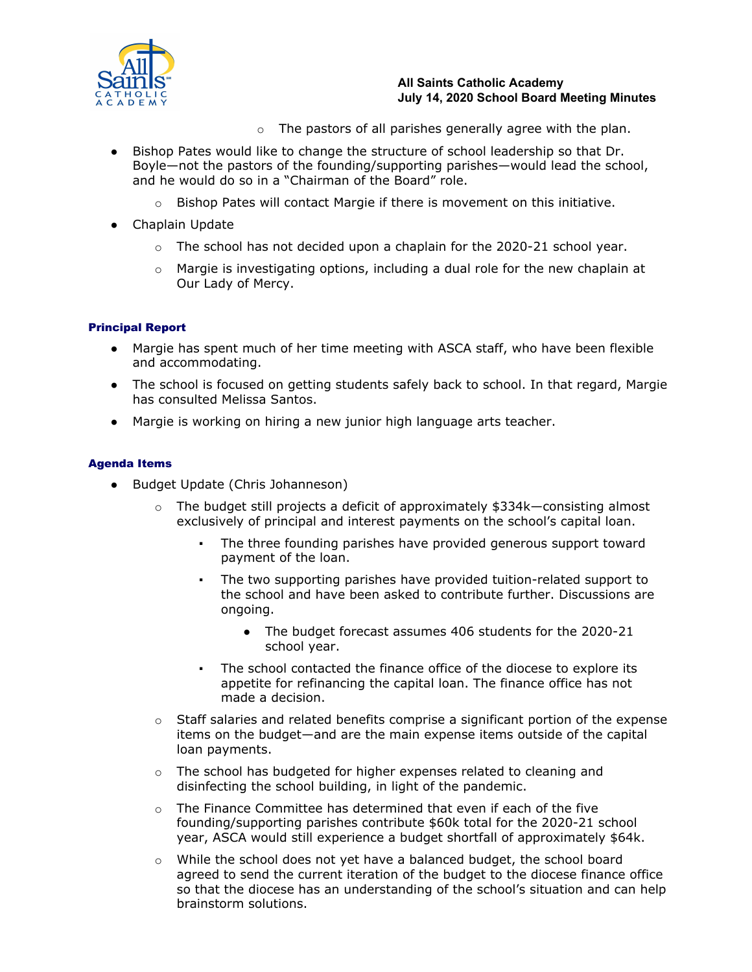

## **All Saints Catholic Academy July 14, 2020 School Board Meeting Minutes**

- $\circ$  The pastors of all parishes generally agree with the plan.
- Bishop Pates would like to change the structure of school leadership so that Dr. Boyle—not the pastors of the founding/supporting parishes—would lead the school, and he would do so in a "Chairman of the Board" role.
	- $\circ$  Bishop Pates will contact Margie if there is movement on this initiative.
- Chaplain Update
	- $\circ$  The school has not decided upon a chaplain for the 2020-21 school year.
	- $\circ$  Margie is investigating options, including a dual role for the new chaplain at Our Lady of Mercy.

# Principal Report

- Margie has spent much of her time meeting with ASCA staff, who have been flexible and accommodating.
- The school is focused on getting students safely back to school. In that regard, Margie has consulted Melissa Santos.
- Margie is working on hiring a new junior high language arts teacher.

## Agenda Items

- Budget Update (Chris Johanneson)
	- o The budget still projects a deficit of approximately \$334k—consisting almost exclusively of principal and interest payments on the school's capital loan.
		- The three founding parishes have provided generous support toward payment of the loan.
		- The two supporting parishes have provided tuition-related support to the school and have been asked to contribute further. Discussions are ongoing.
			- The budget forecast assumes 406 students for the 2020-21 school year.
		- The school contacted the finance office of the diocese to explore its appetite for refinancing the capital loan. The finance office has not made a decision.
	- $\circ$  Staff salaries and related benefits comprise a significant portion of the expense items on the budget—and are the main expense items outside of the capital loan payments.
	- $\circ$  The school has budgeted for higher expenses related to cleaning and disinfecting the school building, in light of the pandemic.
	- $\circ$  The Finance Committee has determined that even if each of the five founding/supporting parishes contribute \$60k total for the 2020-21 school year, ASCA would still experience a budget shortfall of approximately \$64k.
	- $\circ$  While the school does not yet have a balanced budget, the school board agreed to send the current iteration of the budget to the diocese finance office so that the diocese has an understanding of the school's situation and can help brainstorm solutions.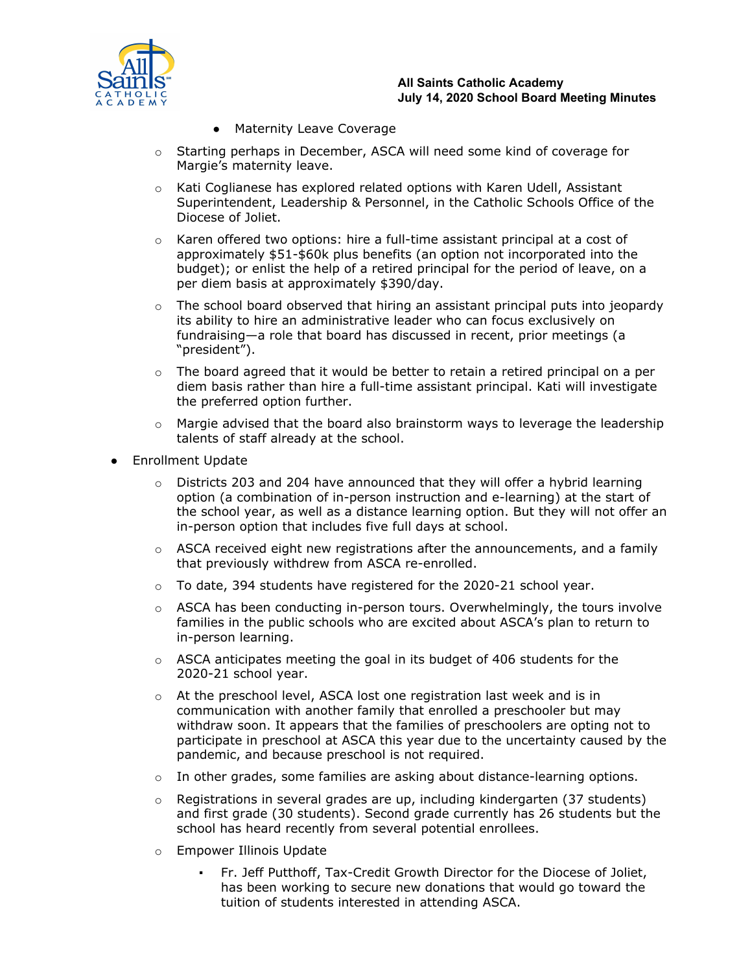

### **All Saints Catholic Academy July 14, 2020 School Board Meeting Minutes**

- Maternity Leave Coverage
- o Starting perhaps in December, ASCA will need some kind of coverage for Margie's maternity leave.
- $\circ$  Kati Coglianese has explored related options with Karen Udell, Assistant Superintendent, Leadership & Personnel, in the Catholic Schools Office of the Diocese of Joliet.
- $\circ$  Karen offered two options: hire a full-time assistant principal at a cost of approximately \$51-\$60k plus benefits (an option not incorporated into the budget); or enlist the help of a retired principal for the period of leave, on a per diem basis at approximately \$390/day.
- $\circ$  The school board observed that hiring an assistant principal puts into jeopardy its ability to hire an administrative leader who can focus exclusively on fundraising—a role that board has discussed in recent, prior meetings (a "president").
- $\circ$  The board agreed that it would be better to retain a retired principal on a per diem basis rather than hire a full-time assistant principal. Kati will investigate the preferred option further.
- $\circ$  Margie advised that the board also brainstorm ways to leverage the leadership talents of staff already at the school.
- Enrollment Update
	- $\circ$  Districts 203 and 204 have announced that they will offer a hybrid learning option (a combination of in-person instruction and e-learning) at the start of the school year, as well as a distance learning option. But they will not offer an in-person option that includes five full days at school.
	- $\circ$  ASCA received eight new registrations after the announcements, and a family that previously withdrew from ASCA re-enrolled.
	- $\circ$  To date, 394 students have registered for the 2020-21 school year.
	- o ASCA has been conducting in-person tours. Overwhelmingly, the tours involve families in the public schools who are excited about ASCA's plan to return to in-person learning.
	- $\circ$  ASCA anticipates meeting the goal in its budget of 406 students for the 2020-21 school year.
	- $\circ$  At the preschool level, ASCA lost one registration last week and is in communication with another family that enrolled a preschooler but may withdraw soon. It appears that the families of preschoolers are opting not to participate in preschool at ASCA this year due to the uncertainty caused by the pandemic, and because preschool is not required.
	- $\circ$  In other grades, some families are asking about distance-learning options.
	- $\circ$  Registrations in several grades are up, including kindergarten (37 students) and first grade (30 students). Second grade currently has 26 students but the school has heard recently from several potential enrollees.
	- o Empower Illinois Update
		- Fr. Jeff Putthoff, Tax-Credit Growth Director for the Diocese of Joliet, has been working to secure new donations that would go toward the tuition of students interested in attending ASCA.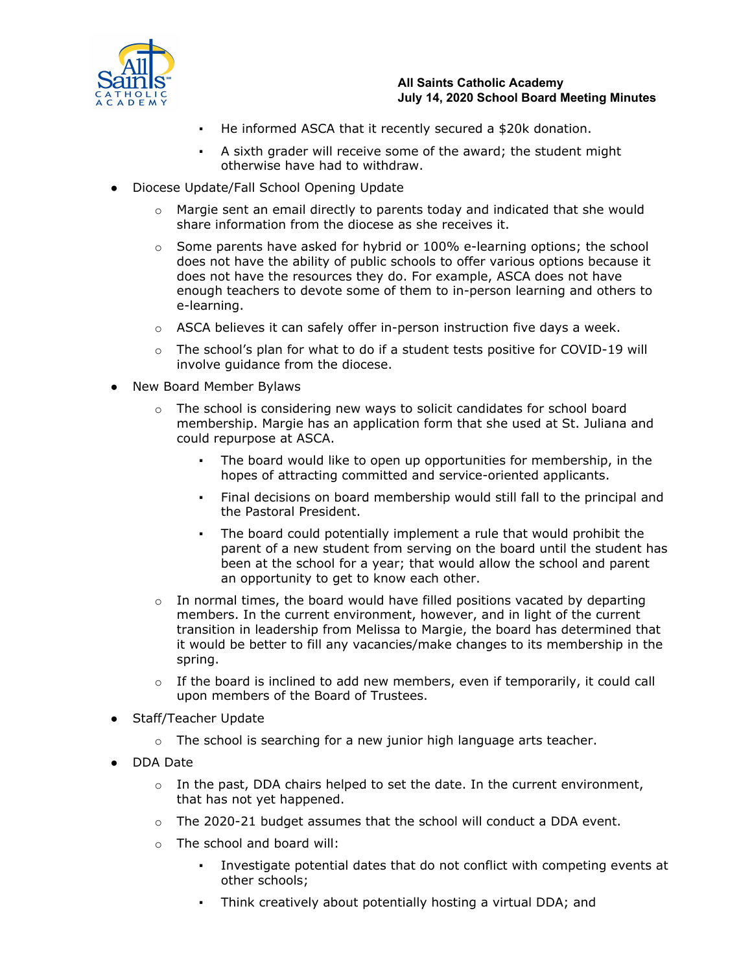

- He informed ASCA that it recently secured a \$20k donation.
- A sixth grader will receive some of the award; the student might otherwise have had to withdraw.
- Diocese Update/Fall School Opening Update
	- $\circ$  Margie sent an email directly to parents today and indicated that she would share information from the diocese as she receives it.
	- $\circ$  Some parents have asked for hybrid or 100% e-learning options; the school does not have the ability of public schools to offer various options because it does not have the resources they do. For example, ASCA does not have enough teachers to devote some of them to in-person learning and others to e-learning.
	- $\circ$  ASCA believes it can safely offer in-person instruction five days a week.
	- $\circ$  The school's plan for what to do if a student tests positive for COVID-19 will involve guidance from the diocese.
- New Board Member Bylaws
	- $\circ$  The school is considering new ways to solicit candidates for school board membership. Margie has an application form that she used at St. Juliana and could repurpose at ASCA.
		- The board would like to open up opportunities for membership, in the hopes of attracting committed and service-oriented applicants.
		- Final decisions on board membership would still fall to the principal and the Pastoral President.
		- The board could potentially implement a rule that would prohibit the parent of a new student from serving on the board until the student has been at the school for a year; that would allow the school and parent an opportunity to get to know each other.
	- $\circ$  In normal times, the board would have filled positions vacated by departing members. In the current environment, however, and in light of the current transition in leadership from Melissa to Margie, the board has determined that it would be better to fill any vacancies/make changes to its membership in the spring.
	- o If the board is inclined to add new members, even if temporarily, it could call upon members of the Board of Trustees.
- Staff/Teacher Update
	- $\circ$  The school is searching for a new junior high language arts teacher.
- DDA Date
	- $\circ$  In the past, DDA chairs helped to set the date. In the current environment, that has not yet happened.
	- $\circ$  The 2020-21 budget assumes that the school will conduct a DDA event.
	- o The school and board will:
		- Investigate potential dates that do not conflict with competing events at other schools;
		- Think creatively about potentially hosting a virtual DDA; and